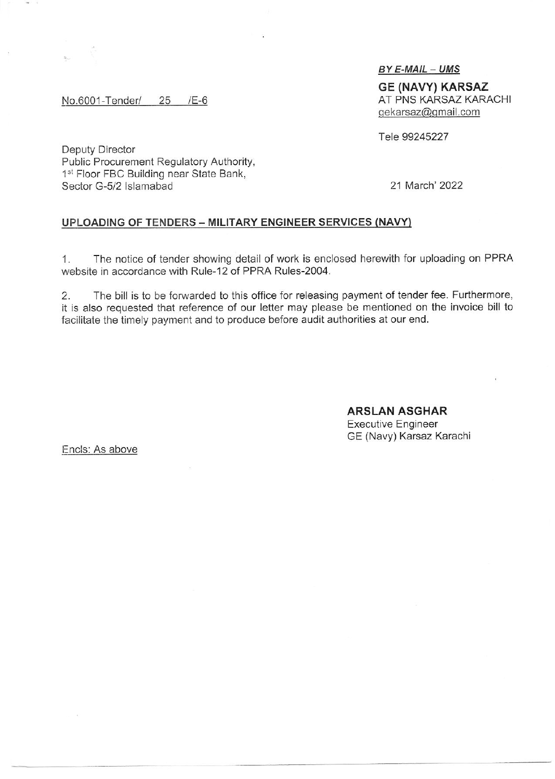BY E-MAIL - UMS

GE (NAVY) KARSAZ AT PNS KARSAZ KARACHI crekarsaz@qmail.com

Tele 99245227

Oeputy Director Public Procurement Regulatory Authority, 1<sup>st</sup> Floor FBC Building near State Bank, Sector G-5/2 Islamabad 21 March' 2022

No.6001-Tender/ 25 /E-6

## UPLOADING OF TENDERS - MILITARY ENGINEER SERVICES (NAVY)

1. The notice of tender showinq detail of work is enclosed herewith for uploading on PPRA website in accordance with Rule-12 of PPRA Rules-2004.

2. The bill is to be forwarded to this office for releasing payment of tender fee. Furthermore it is also requested that reference of our letter may please be mentioned on the invoice bill to facilitate the timely payment and to produce before audit authorities at our end.

> ARSLAN ASGHAR Executive Engineer GE (Navy) Karsaz Karachi

Encls: As above